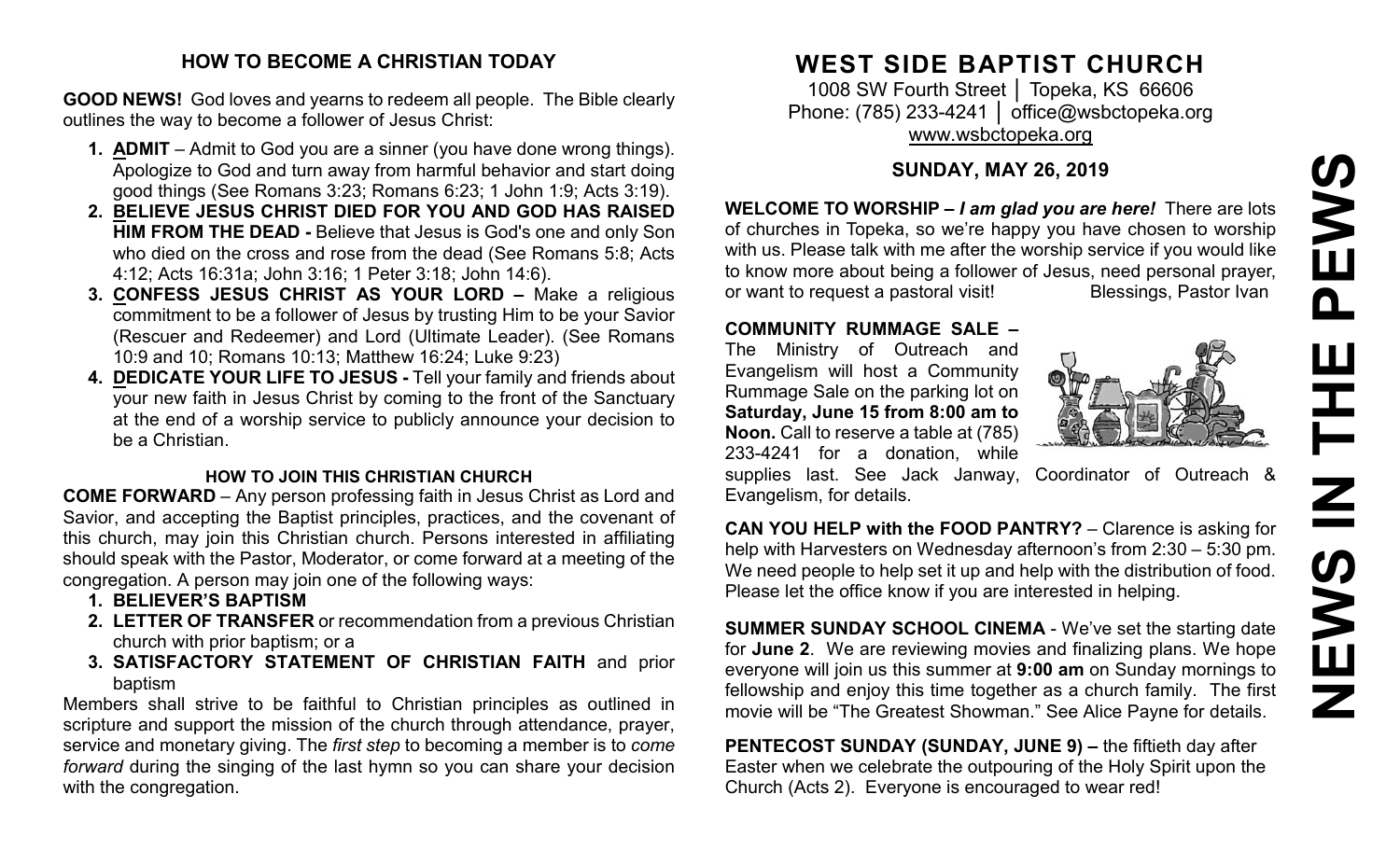# **NEWS IN THE PEWS**EWS  $\mathbf{\Omega}$ Ē  $\overline{\mathbf{z}}$  $\boldsymbol{\Omega}$ ME Z

#### **HOW TO BECOME A CHRISTIAN TODAY**

**GOOD NEWS!** God loves and yearns to redeem all people. The Bible clearly outlines the way to become a follower of Jesus Christ:

- **1. ADMIT** Admit to God you are a sinner (you have done wrong things). Apologize to God and turn away from harmful behavior and start doing good things (See Romans 3:23; Romans 6:23; 1 John 1:9; Acts 3:19).
- **2. BELIEVE JESUS CHRIST DIED FOR YOU AND GOD HAS RAISED HIM FROM THE DEAD -** Believe that Jesus is God's one and only Son who died on the cross and rose from the dead (See Romans 5:8; Acts 4:12; Acts 16:31a; John 3:16; 1 Peter 3:18; John 14:6).
- **3. CONFESS JESUS CHRIST AS YOUR LORD –** Make a religious commitment to be a follower of Jesus by trusting Him to be your Savior (Rescuer and Redeemer) and Lord (Ultimate Leader). (See Romans 10:9 and 10; Romans 10:13; Matthew 16:24; Luke 9:23)
- **4. DEDICATE YOUR LIFE TO JESUS -** Tell your family and friends about your new faith in Jesus Christ by coming to the front of the Sanctuary at the end of a worship service to publicly announce your decision to be a Christian.

#### **HOW TO JOIN THIS CHRISTIAN CHURCH**

**COME FORWARD** – Any person professing faith in Jesus Christ as Lord and Savior, and accepting the Baptist principles, practices, and the covenant of this church, may join this Christian church. Persons interested in affiliating should speak with the Pastor, Moderator, or come forward at a meeting of the congregation. A person may join one of the following ways:

- **1. BELIEVER'S BAPTISM**
- **2. LETTER OF TRANSFER** or recommendation from a previous Christian church with prior baptism; or a
- **3. SATISFACTORY STATEMENT OF CHRISTIAN FAITH** and prior baptism

Members shall strive to be faithful to Christian principles as outlined in scripture and support the mission of the church through attendance, prayer, service and monetary giving. The *first step* to becoming a member is to *come forward* during the singing of the last hymn so you can share your decision with the congregation.

### **WEST SIDE BAPTIST CHURCH**

1008 SW Fourth Street | Topeka, KS 66606 Phone: (785) 233-4241 │ [office@wsbctopeka.org](mailto:office@wsbctopeka.org) [www.wsbctopeka.org](http://www.wsbctopeka.org/)

#### **SUNDAY, MAY 26, 2019**

**WELCOME TO WORSHIP –** *I am glad you are here!* There are lots of churches in Topeka, so we're happy you have chosen to worship with us. Please talk with me after the worship service if you would like to know more about being a follower of Jesus, need personal prayer,<br>or want to request a pastoral visit!<br>Blessings, Pastor Ivan or want to request a pastoral visit!

#### **COMMUNITY RUMMAGE SALE –**

The Ministry of Outreach and Evangelism will host a Community Rummage Sale on the parking lot on **Saturday, June 15 from 8:00 am to Noon.** Call to reserve a table at (785) 233-4241 for a donation, while



supplies last. See Jack Janway, Coordinator of Outreach & Evangelism, for details.

**CAN YOU HELP with the FOOD PANTRY?** – Clarence is asking for help with Harvesters on Wednesday afternoon's from 2:30 – 5:30 pm. We need people to help set it up and help with the distribution of food. Please let the office know if you are interested in helping.

**SUMMER SUNDAY SCHOOL CINEMA - We've set the starting date** for **June 2**. We are reviewing movies and finalizing plans. We hope everyone will join us this summer at **9:00 am** on Sunday mornings to fellowship and enjoy this time together as a church family. The first movie will be "The Greatest Showman." See Alice Payne for details.

**PENTECOST SUNDAY (SUNDAY, JUNE 9) –** the fiftieth day after Easter when we celebrate the outpouring of the Holy Spirit upon the Church (Acts 2). Everyone is encouraged to wear red!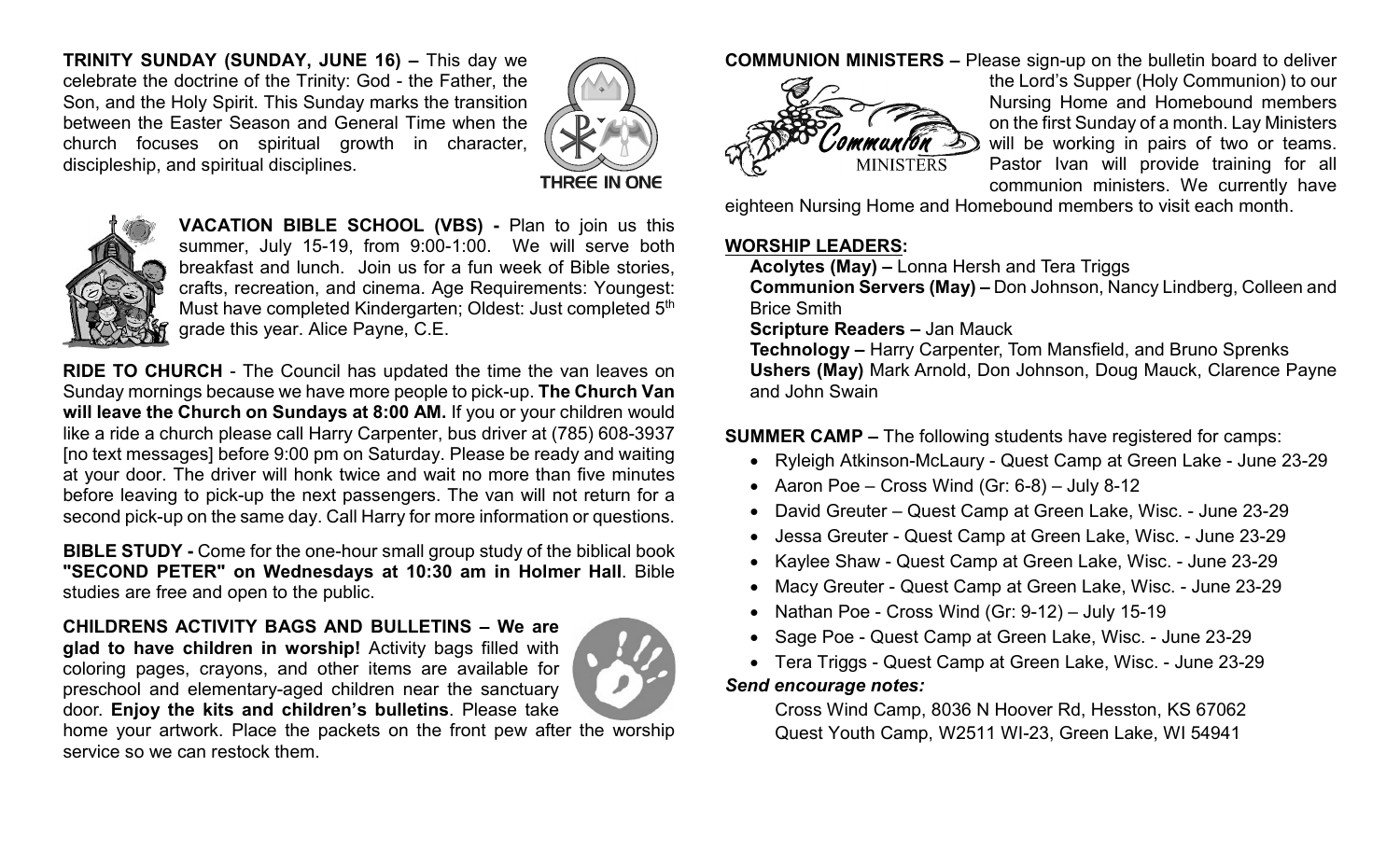**TRINITY SUNDAY (SUNDAY, JUNE 16) –** This day we celebrate the doctrine of the Trinity: God - the Father, the Son, and the Holy Spirit. This Sunday marks the transition between the Easter Season and General Time when the church focuses on spiritual growth in character, discipleship, and spiritual disciplines.





**VACATION BIBLE SCHOOL (VBS) -** Plan to join us this summer, July 15-19, from 9:00-1:00. We will serve both breakfast and lunch. Join us for a fun week of Bible stories, crafts, recreation, and cinema. Age Requirements: Youngest: Must have completed Kindergarten; Oldest: Just completed 5<sup>th</sup> grade this year. Alice Payne, C.E.

**RIDE TO CHURCH** - The Council has updated the time the van leaves on Sunday mornings because we have more people to pick-up. **The Church Van will leave the Church on Sundays at 8:00 AM.** If you or your children would like a ride a church please call Harry Carpenter, bus driver at (785) 608-3937 [no text messages] before 9:00 pm on Saturday. Please be ready and waiting at your door. The driver will honk twice and wait no more than five minutes before leaving to pick-up the next passengers. The van will not return for a second pick-up on the same day. Call Harry for more information or questions.

**BIBLE STUDY -** Come for the one-hour small group study of the biblical book **"SECOND PETER" on Wednesdays at 10:30 am in Holmer Hall**. Bible studies are free and open to the public.

**CHILDRENS ACTIVITY BAGS AND BULLETINS – We are glad to have children in worship!** Activity bags filled with coloring pages, crayons, and other items are available for preschool and elementary-aged children near the sanctuary door. **Enjoy the kits and children's bulletins**. Please take



home your artwork. Place the packets on the front pew after the worship service so we can restock them.

**COMMUNION MINISTERS –** Please sign-up on the bulletin board to deliver



the Lord's Supper (Holy Communion) to our Nursing Home and Homebound members on the first Sunday of a month. Lay Ministers will be working in pairs of two or teams. Pastor Ivan will provide training for all communion ministers. We currently have

eighteen Nursing Home and Homebound members to visit each month.

#### **WORSHIP LEADERS:**

**Acolytes (May) –** Lonna Hersh and Tera Triggs

**Communion Servers (May) –** Don Johnson, Nancy Lindberg, Colleen and Brice Smith

**Scripture Readers –** Jan Mauck

**Technology –** Harry Carpenter, Tom Mansfield, and Bruno Sprenks **Ushers (May)** Mark Arnold, Don Johnson, Doug Mauck, Clarence Payne and John Swain

**SUMMER CAMP –** The following students have registered for camps:

- Ryleigh Atkinson-McLaury Quest Camp at Green Lake June 23-29
- Aaron Poe Cross Wind (Gr: 6-8) July 8-12
- David Greuter Quest Camp at Green Lake, Wisc. June 23-29
- Jessa Greuter Quest Camp at Green Lake, Wisc. June 23-29
- Kaylee Shaw Quest Camp at Green Lake, Wisc. June 23-29
- Macy Greuter Quest Camp at Green Lake, Wisc. June 23-29
- Nathan Poe Cross Wind (Gr: 9-12) July 15-19
- Sage Poe Quest Camp at Green Lake, Wisc. June 23-29
- Tera Triggs Quest Camp at Green Lake, Wisc. June 23-29 *Send encourage notes:*

Cross Wind Camp, 8036 N Hoover Rd, Hesston, KS 67062 Quest Youth Camp, W2511 WI-23, Green Lake, WI 54941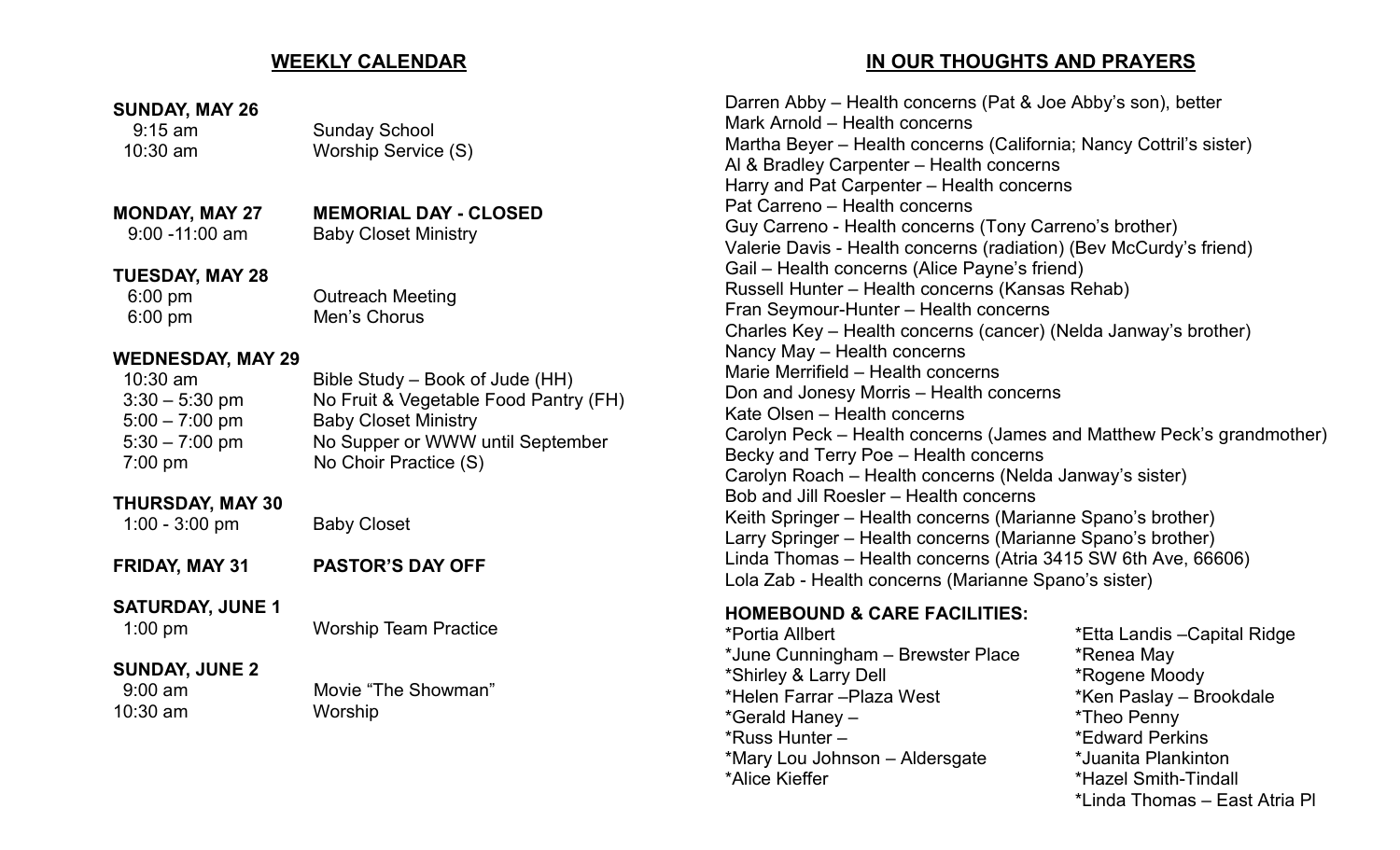#### **WEEKLY CALENDAR**

#### **SUNDAY, MAY 26**

#### 9:15 am Sunday School 10:30 am Worship Service (S)

#### **MONDAY, MAY 27 MEMORIAL DAY - CLOSED**<br>9:00 -11:00 am Baby Closet Ministry **Baby Closet Ministry**

#### **TUESDAY, MAY 28**

6:00 pm Outreach Meeting 6:00 pm Men's Chorus

#### **WEDNESDAY, MAY 29**

| $10:30$ am        | Bible Study – Book of Jude (HH)       |
|-------------------|---------------------------------------|
| $3:30 - 5:30$ pm  | No Fruit & Vegetable Food Pantry (FH) |
| $5:00 - 7:00$ pm  | <b>Baby Closet Ministry</b>           |
| $5:30 - 7:00$ pm  | No Supper or WWW until September      |
| $7:00 \text{ pm}$ | No Choir Practice (S)                 |
|                   |                                       |

#### **THURSDAY, MAY 30**

1:00 - 3:00 pm Baby Closet

**FRIDAY, MAY 31 PASTOR'S DAY OFF**

#### **SATURDAY, JUNE 1**

1:00 pm Worship Team Practice

#### **SUNDAY, JUNE 2**

10:30 am Worship

## 9:00 am Movie "The Showman"

#### **IN OUR THOUGHTS AND PRAYERS**

Darren Abby – Health concerns (Pat & Joe Abby's son), better Mark Arnold – Health concerns Martha Beyer – Health concerns (California; Nancy Cottril's sister) Al & Bradley Carpenter – Health concerns Harry and Pat Carpenter – Health concerns Pat Carreno – Health concerns Guy Carreno - Health concerns (Tony Carreno's brother) Valerie Davis - Health concerns (radiation) (Bev McCurdy's friend) Gail – Health concerns (Alice Payne's friend) Russell Hunter – Health concerns (Kansas Rehab) Fran Seymour-Hunter – Health concerns Charles Key – Health concerns (cancer) (Nelda Janway's brother) Nancy May – Health concerns Marie Merrifield – Health concerns Don and Jonesy Morris – Health concerns Kate Olsen – Health concerns Carolyn Peck – Health concerns (James and Matthew Peck's grandmother) Becky and Terry Poe – Health concerns Carolyn Roach – Health concerns (Nelda Janway's sister) Bob and Jill Roesler – Health concerns Keith Springer – Health concerns (Marianne Spano's brother) Larry Springer – Health concerns (Marianne Spano's brother) Linda Thomas – Health concerns (Atria 3415 SW 6th Ave, 66606) Lola Zab - Health concerns (Marianne Spano's sister)

#### **HOMEBOUND & CARE FACILITIES:**

\*Portia Allbert \*Etta Landis –Capital Ridge \*June Cunningham – Brewster Place \* \* Renea May \*Shirley & Larry Dell \*Rogene Moody \*Helen Farrar –Plaza West \*Ken Paslay – Brookdale \*Gerald Haney – \*Theo Penny \*Russ Hunter – \*Edward Perkins \*Mary Lou Johnson – Aldersgate \*Juanita Plankinton \*Alice Kieffer \*Hazel Smith-Tindall

\*Linda Thomas – East Atria Pl